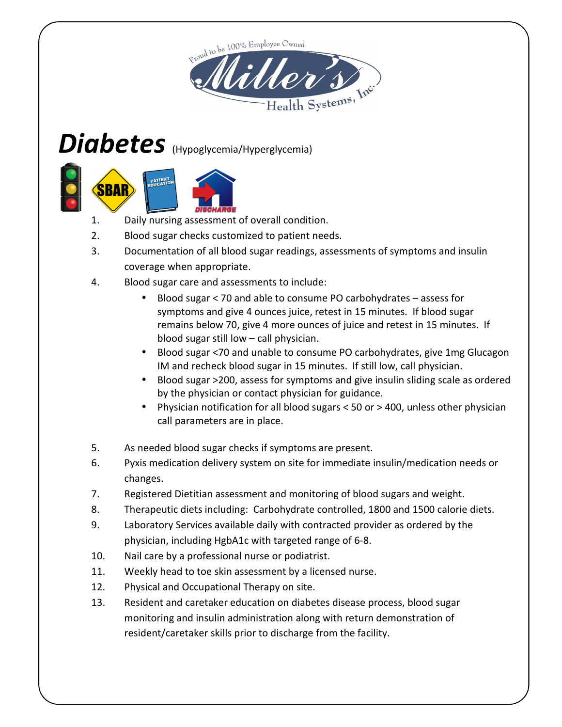

# Diabetes (Hypoglycemia/Hyperglycemia)



- 1. Daily nursing assessment of overall condition.
- 2. Blood sugar checks customized to patient needs.
- 3. Documentation of all blood sugar readings, assessments of symptoms and insulin coverage when appropriate.
- 4. Blood sugar care and assessments to include:
	- Blood sugar < 70 and able to consume PO carbohydrates assess for symptoms and give 4 ounces juice, retest in 15 minutes. If blood sugar remains below 70, give 4 more ounces of juice and retest in 15 minutes. If blood sugar still low – call physician.
	- Blood sugar <70 and unable to consume PO carbohydrates, give 1mg Glucagon IM and recheck blood sugar in 15 minutes. If still low, call physician.
	- Blood sugar >200, assess for symptoms and give insulin sliding scale as ordered by the physician or contact physician for guidance.
	- Physician notification for all blood sugars < 50 or > 400, unless other physician call parameters are in place.
- 5. As needed blood sugar checks if symptoms are present.
- 6. Pyxis medication delivery system on site for immediate insulin/medication needs or changes.
- 7. Registered Dietitian assessment and monitoring of blood sugars and weight.
- 8. Therapeutic diets including: Carbohydrate controlled, 1800 and 1500 calorie diets.
- 9. Laboratory Services available daily with contracted provider as ordered by the physician, including HgbA1c with targeted range of 6-8.
- 10. Nail care by a professional nurse or podiatrist.
- 11. Weekly head to toe skin assessment by a licensed nurse.
- 12. Physical and Occupational Therapy on site.
- 13. Resident and caretaker education on diabetes disease process, blood sugar monitoring and insulin administration along with return demonstration of resident/caretaker skills prior to discharge from the facility.